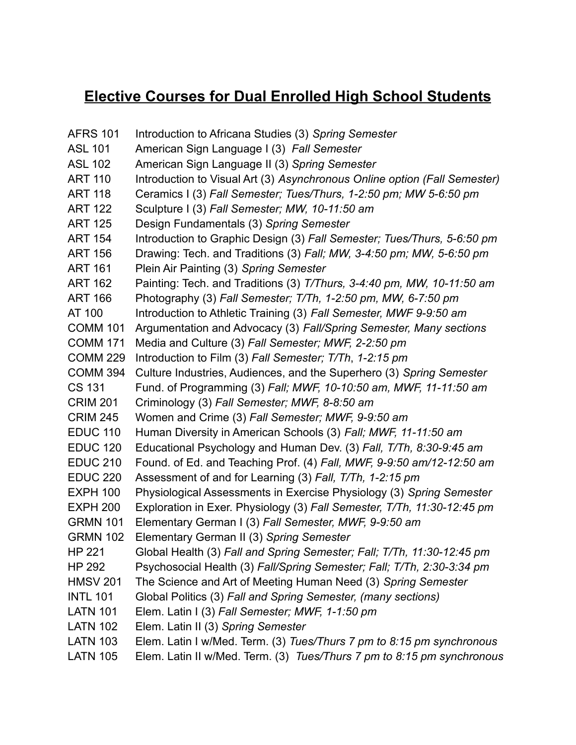## **Elective Courses for Dual Enrolled High School Students**

AFRS 101 Introduction to Africana Studies (3) *Spring Semester* ASL 101 American Sign Language I (3) *Fall Semester* ASL 102 American Sign Language II (3) *Spring Semester* ART 110 Introduction to Visual Art (3) *Asynchronous Online option (Fall Semester)* ART 118 Ceramics I (3) *Fall Semester; Tues/Thurs, 1-2:50 pm; MW 5-6:50 pm* ART 122 Sculpture I (3) *Fall Semester; MW, 10-11:50 am* ART 125 Design Fundamentals (3) *Spring Semester* ART 154 Introduction to Graphic Design (3) *Fall Semester; Tues/Thurs, 5-6:50 pm* ART 156 Drawing: Tech. and Traditions (3) *Fall; MW, 3-4:50 pm; MW, 5-6:50 pm* ART 161 Plein Air Painting (3) *Spring Semester* ART 162 Painting: Tech. and Traditions (3) *T/Thurs, 3-4:40 pm, MW, 10-11:50 am* ART 166 Photography (3) *Fall Semester; T/Th, 1-2:50 pm, MW, 6-7:50 pm* AT 100 Introduction to Athletic Training (3) *Fall Semester, MWF 9-9:50 am* COMM 101 Argumentation and Advocacy (3) *Fall/Spring Semester, Many sections* COMM 171 Media and Culture (3) *Fall Semester; MWF, 2-2:50 pm* COMM 229 Introduction to Film (3) *Fall Semester; T/Th*, *1-2:15 pm* COMM 394 Culture Industries, Audiences, and the Superhero (3) *Spring Semester* CS 131 Fund. of Programming (3) *Fall; MWF, 10-10:50 am, MWF, 11-11:50 am* CRIM 201 Criminology (3) *Fall Semester; MWF, 8-8:50 am* CRIM 245 Women and Crime (3) *Fall Semester; MWF, 9-9:50 am* EDUC 110 Human Diversity in American Schools (3) *Fall; MWF, 11-11:50 am* EDUC 120 Educational Psychology and Human Dev. (3) *Fall, T/Th, 8:30-9:45 am* EDUC 210 Found. of Ed. and Teaching Prof. (4) *Fall, MWF, 9-9:50 am/12-12:50 am* EDUC 220 Assessment of and for Learning (3) *Fall, T/Th, 1-2:15 pm* EXPH 100 Physiological Assessments in Exercise Physiology (3) *Spring Semester* EXPH 200 Exploration in Exer. Physiology (3) *Fall Semester, T/Th, 11:30-12:45 pm* GRMN 101 Elementary German I (3) *Fall Semester, MWF, 9-9:50 am* GRMN 102 Elementary German II (3) *Spring Semester* HP 221 Global Health (3) *Fall and Spring Semester; Fall; T/Th, 11:30-12:45 pm* HP 292 Psychosocial Health (3) *Fall/Spring Semester; Fall; T/Th, 2:30-3:34 pm* HMSV 201 The Science and Art of Meeting Human Need (3) *Spring Semester* INTL 101 Global Politics (3) *Fall and Spring Semester, (many sections)* LATN 101 Elem. Latin I (3) *Fall Semester; MWF, 1-1:50 pm* LATN 102 Elem. Latin II (3) *Spring Semester* LATN 103 Elem. Latin I w/Med. Term. (3) *Tues/Thurs 7 pm to 8:15 pm synchronous* LATN 105 Elem. Latin II w/Med. Term. (3) *Tues/Thurs 7 pm to 8:15 pm synchronous*